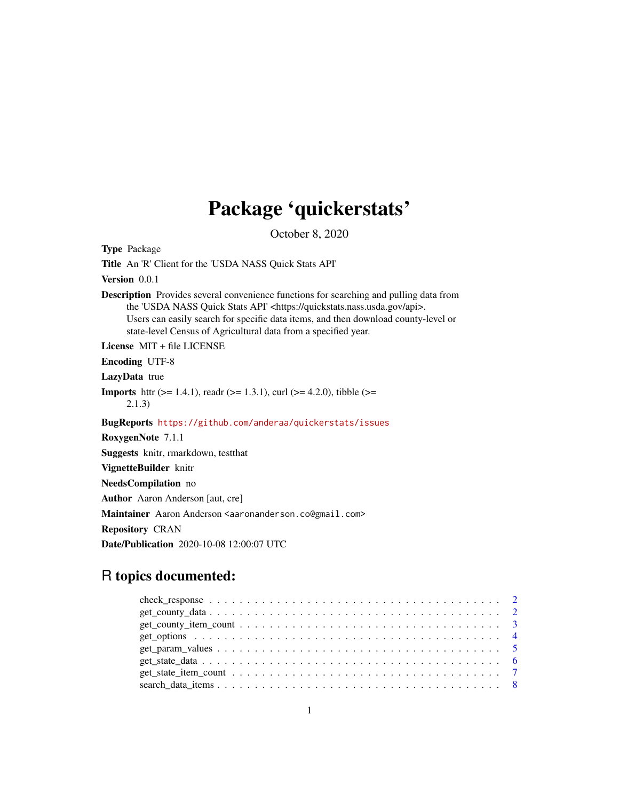# Package 'quickerstats'

October 8, 2020

Type Package Title An 'R' Client for the 'USDA NASS Quick Stats API' Version 0.0.1 Description Provides several convenience functions for searching and pulling data from the 'USDA NASS Quick Stats API' <https://quickstats.nass.usda.gov/api>. Users can easily search for specific data items, and then download county-level or state-level Census of Agricultural data from a specified year. License MIT + file LICENSE Encoding UTF-8 LazyData true **Imports** http: ( $> = 1.4.1$ ), readr ( $> = 1.3.1$ ), curl ( $> = 4.2.0$ ), tibble ( $> = 1.3.1$ ) 2.1.3) BugReports <https://github.com/anderaa/quickerstats/issues> RoxygenNote 7.1.1 Suggests knitr, rmarkdown, testthat VignetteBuilder knitr NeedsCompilation no Author Aaron Anderson [aut, cre] Maintainer Aaron Anderson <aaronanderson.co@gmail.com> Repository CRAN Date/Publication 2020-10-08 12:00:07 UTC

# R topics documented:

| $get\_count$ , $item\_count$ , $\ldots$ , $\ldots$ , $\ldots$ , $\ldots$ , $\ldots$ , $\ldots$ , $\ldots$ , $\ldots$ , $\ldots$ , $\frac{3}{4}$ |  |
|-------------------------------------------------------------------------------------------------------------------------------------------------|--|
|                                                                                                                                                 |  |
|                                                                                                                                                 |  |
|                                                                                                                                                 |  |
|                                                                                                                                                 |  |
|                                                                                                                                                 |  |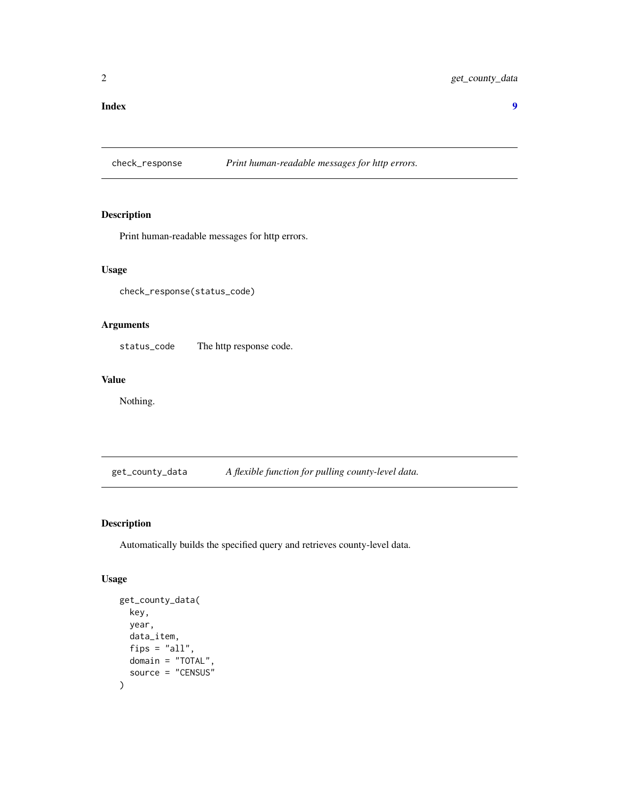#### <span id="page-1-0"></span>**Index** [9](#page-8-0)

check\_response *Print human-readable messages for http errors.*

# Description

Print human-readable messages for http errors.

# Usage

check\_response(status\_code)

# Arguments

status\_code The http response code.

# Value

Nothing.

get\_county\_data *A flexible function for pulling county-level data.*

# Description

Automatically builds the specified query and retrieves county-level data.

# Usage

```
get_county_data(
  key,
  year,
  data_item,
  fips = "all",domain = "TOTAL",
  source = "CENSUS"
\mathcal{E}
```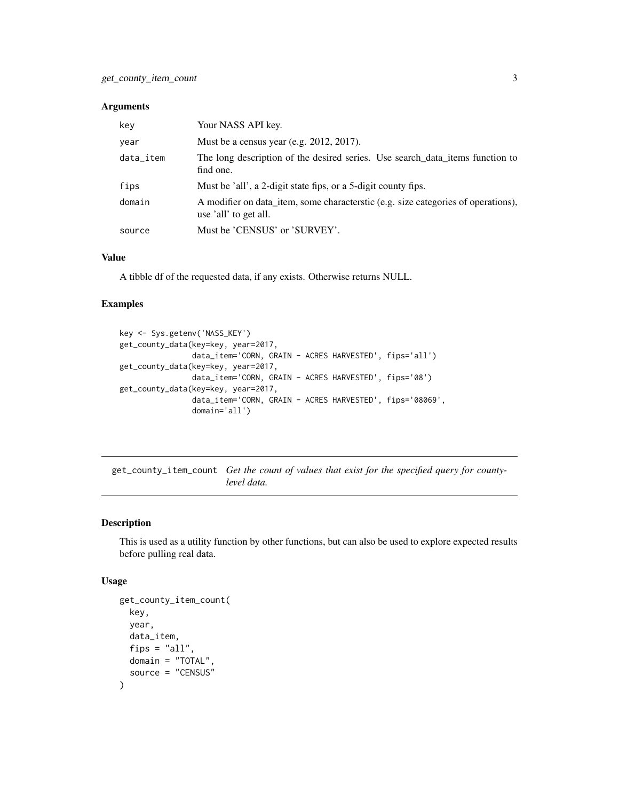#### <span id="page-2-0"></span>Arguments

| kev       | Your NASS API key.                                                                                          |
|-----------|-------------------------------------------------------------------------------------------------------------|
| year      | Must be a census year (e.g. $2012$ , $2017$ ).                                                              |
| data_item | The long description of the desired series. Use search data items function to<br>find one.                  |
| fips      | Must be 'all', a 2-digit state fips, or a 5-digit county fips.                                              |
| domain    | A modifier on data item, some characteristic (e.g. size categories of operations),<br>use 'all' to get all. |
| source    | Must be 'CENSUS' or 'SURVEY'.                                                                               |

#### Value

A tibble df of the requested data, if any exists. Otherwise returns NULL.

#### Examples

```
key <- Sys.getenv('NASS_KEY')
get_county_data(key=key, year=2017,
                data_item='CORN, GRAIN - ACRES HARVESTED', fips='all')
get_county_data(key=key, year=2017,
                data_item='CORN, GRAIN - ACRES HARVESTED', fips='08')
get_county_data(key=key, year=2017,
                data_item='CORN, GRAIN - ACRES HARVESTED', fips='08069',
                domain='all')
```
get\_county\_item\_count *Get the count of values that exist for the specified query for countylevel data.*

# Description

This is used as a utility function by other functions, but can also be used to explore expected results before pulling real data.

#### Usage

```
get_county_item_count(
  key,
  year,
 data_item,
  fips = "all",domain = "TOTAL",
  source = "CENSUS"
)
```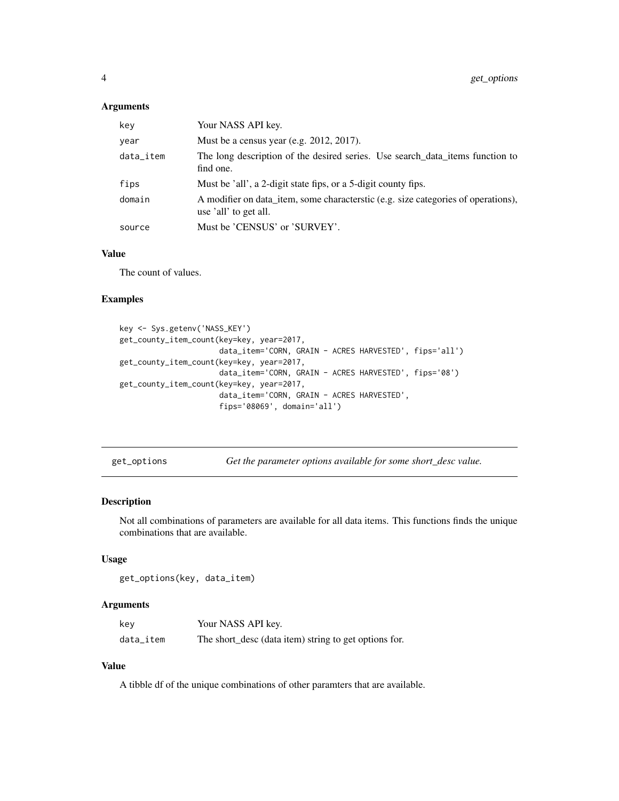#### <span id="page-3-0"></span>Arguments

| key       | Your NASS API key.                                                                                          |
|-----------|-------------------------------------------------------------------------------------------------------------|
| year      | Must be a census year (e.g. $2012$ , $2017$ ).                                                              |
| data_item | The long description of the desired series. Use search data items function to<br>find one.                  |
| fips      | Must be 'all', a 2-digit state fips, or a 5-digit county fips.                                              |
| domain    | A modifier on data item, some characteristic (e.g. size categories of operations),<br>use 'all' to get all. |
| source    | Must be 'CENSUS' or 'SURVEY'.                                                                               |

# Value

The count of values.

# Examples

```
key <- Sys.getenv('NASS_KEY')
get_county_item_count(key=key, year=2017,
                      data_item='CORN, GRAIN - ACRES HARVESTED', fips='all')
get_county_item_count(key=key, year=2017,
                      data_item='CORN, GRAIN - ACRES HARVESTED', fips='08')
get_county_item_count(key=key, year=2017,
                      data_item='CORN, GRAIN - ACRES HARVESTED',
                      fips='08069', domain='all')
```

| get options |  |
|-------------|--|
|             |  |

get\_options *Get the parameter options available for some short\_desc value.*

#### Description

Not all combinations of parameters are available for all data items. This functions finds the unique combinations that are available.

#### Usage

get\_options(key, data\_item)

#### Arguments

| kev       | Your NASS API key.                                    |
|-----------|-------------------------------------------------------|
| data_item | The short_desc (data item) string to get options for. |

#### Value

A tibble df of the unique combinations of other paramters that are available.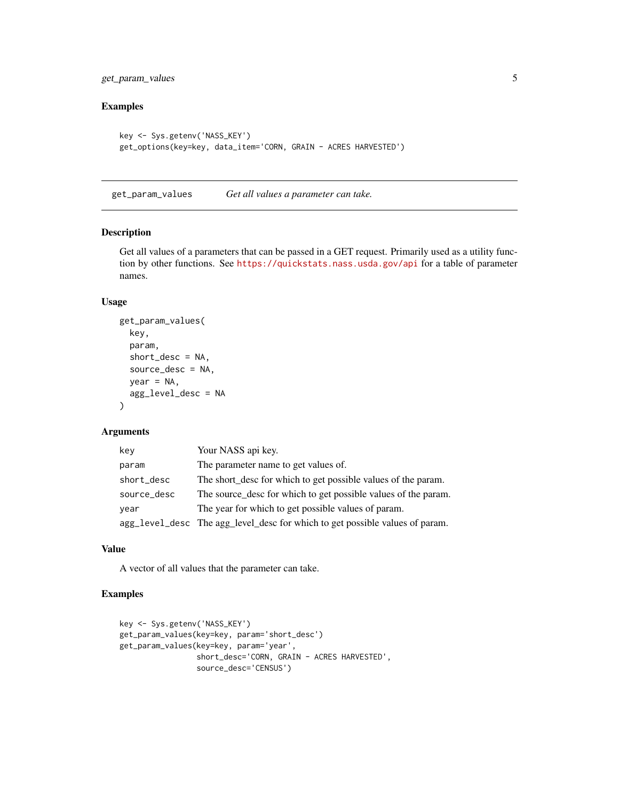<span id="page-4-0"></span>get\_param\_values 5

# Examples

```
key <- Sys.getenv('NASS_KEY')
get_options(key=key, data_item='CORN, GRAIN - ACRES HARVESTED')
```
get\_param\_values *Get all values a parameter can take.*

## Description

Get all values of a parameters that can be passed in a GET request. Primarily used as a utility function by other functions. See <https://quickstats.nass.usda.gov/api> for a table of parameter names.

#### Usage

```
get_param_values(
  key,
 param,
  short\_desc = NA,
  source_desc = NA,
 year = NA,
  agg_level_desc = NA
)
```
#### Arguments

| key         | Your NASS api key.                                                           |
|-------------|------------------------------------------------------------------------------|
| param       | The parameter name to get values of.                                         |
| short_desc  | The short_desc for which to get possible values of the param.                |
| source_desc | The source_desc for which to get possible values of the param.               |
| year        | The year for which to get possible values of param.                          |
|             | agg_level_desc The agg_level_desc for which to get possible values of param. |

#### Value

A vector of all values that the parameter can take.

```
key <- Sys.getenv('NASS_KEY')
get_param_values(key=key, param='short_desc')
get_param_values(key=key, param='year',
                 short_desc='CORN, GRAIN - ACRES HARVESTED',
                 source_desc='CENSUS')
```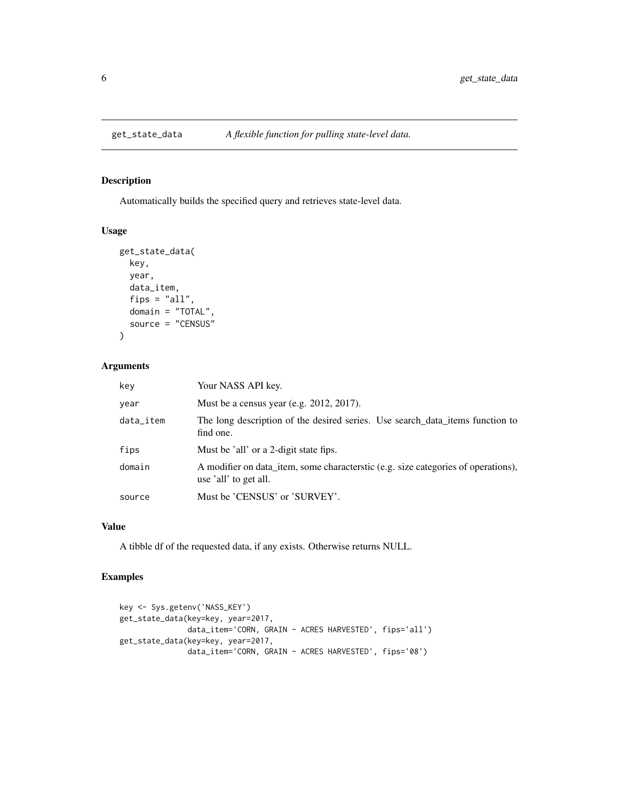<span id="page-5-0"></span>

# Description

Automatically builds the specified query and retrieves state-level data.

# Usage

```
get_state_data(
 key,
 year,
 data_item,
  fips = "all",
  domain = "TOTAL",
  source = "CENSUS"
)
```
# Arguments

| kev       | Your NASS API key.                                                                                          |
|-----------|-------------------------------------------------------------------------------------------------------------|
| year      | Must be a census year (e.g. $2012$ , $2017$ ).                                                              |
| data_item | The long description of the desired series. Use search data items function to<br>find one.                  |
| fips      | Must be 'all' or a 2-digit state fips.                                                                      |
| domain    | A modifier on data_item, some characteristic (e.g. size categories of operations),<br>use 'all' to get all. |
| source    | Must be 'CENSUS' or 'SURVEY'.                                                                               |

## Value

A tibble df of the requested data, if any exists. Otherwise returns NULL.

```
key <- Sys.getenv('NASS_KEY')
get_state_data(key=key, year=2017,
               data_item='CORN, GRAIN - ACRES HARVESTED', fips='all')
get_state_data(key=key, year=2017,
              data_item='CORN, GRAIN - ACRES HARVESTED', fips='08')
```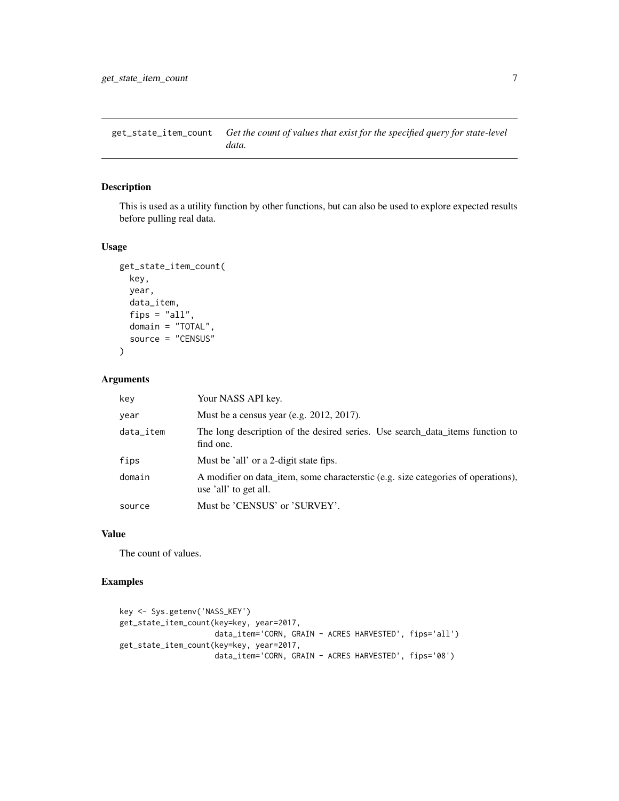<span id="page-6-0"></span>get\_state\_item\_count *Get the count of values that exist for the specified query for state-level data.*

# Description

This is used as a utility function by other functions, but can also be used to explore expected results before pulling real data.

#### Usage

```
get_state_item_count(
  key,
  year,
  data_item,
  fips = "all",domain = "TOTAL",
  source = "CENSUS"
\mathcal{L}
```
# Arguments

| key       | Your NASS API key.                                                                                          |
|-----------|-------------------------------------------------------------------------------------------------------------|
| year      | Must be a census year (e.g. $2012$ , $2017$ ).                                                              |
| data_item | The long description of the desired series. Use search data items function to<br>find one.                  |
| fips      | Must be 'all' or a 2-digit state fips.                                                                      |
| domain    | A modifier on data item, some characteristic (e.g. size categories of operations),<br>use 'all' to get all. |
| source    | Must be 'CENSUS' or 'SURVEY'.                                                                               |

#### Value

The count of values.

```
key <- Sys.getenv('NASS_KEY')
get_state_item_count(key=key, year=2017,
                     data_item='CORN, GRAIN - ACRES HARVESTED', fips='all')
get_state_item_count(key=key, year=2017,
                     data_item='CORN, GRAIN - ACRES HARVESTED', fips='08')
```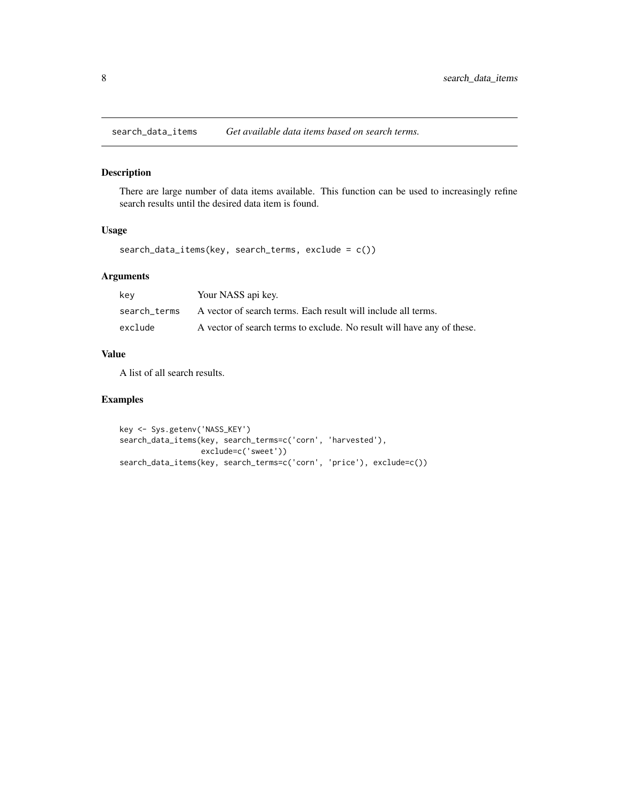<span id="page-7-0"></span>search\_data\_items *Get available data items based on search terms.*

#### Description

There are large number of data items available. This function can be used to increasingly refine search results until the desired data item is found.

# Usage

search\_data\_items(key, search\_terms, exclude = c())

# Arguments

| key          | Your NASS api key.                                                     |
|--------------|------------------------------------------------------------------------|
| search terms | A vector of search terms. Each result will include all terms.          |
| exclude      | A vector of search terms to exclude. No result will have any of these. |

# Value

A list of all search results.

```
key <- Sys.getenv('NASS_KEY')
search_data_items(key, search_terms=c('corn', 'harvested'),
                  exclude=c('sweet'))
search_data_items(key, search_terms=c('corn', 'price'), exclude=c())
```